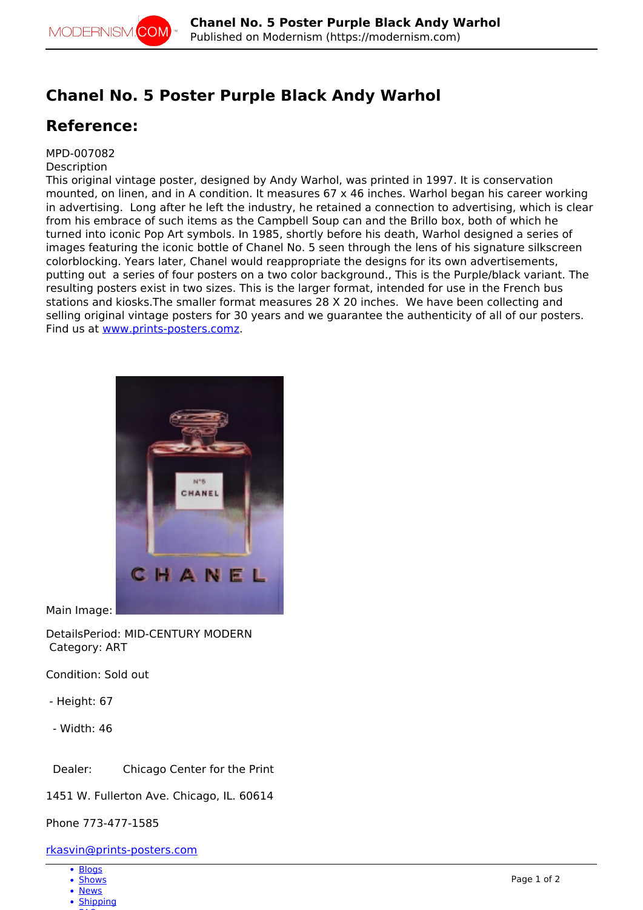## **Chanel No. 5 Poster Purple Black Andy Warhol**

## **Reference:**

MPD-007082

**Description** 

This original vintage poster, designed by Andy Warhol, was printed in 1997. It is conservation mounted, on linen, and in A condition. It measures 67 x 46 inches. Warhol began his career working in advertising. Long after he left the industry, he retained a connection to advertising, which is clear from his embrace of such items as the Campbell Soup can and the Brillo box, both of which he turned into iconic Pop Art symbols. In 1985, shortly before his death, Warhol designed a series of images featuring the iconic bottle of Chanel No. 5 seen through the lens of his signature silkscreen colorblocking. Years later, Chanel would reappropriate the designs for its own advertisements, putting out a series of four posters on a two color background., This is the Purple/black variant. The resulting posters exist in two sizes. This is the larger format, intended for use in the French bus stations and kiosks.The smaller format measures 28 X 20 inches. We have been collecting and selling original vintage posters for 30 years and we guarantee the authenticity of all of our posters. Find us at [www.prints-posters.comz.](http://www.prints-posters.comz)



Main Image:

DetailsPeriod: MID-CENTURY MODERN Category: ART

Condition: Sold out

- Height: 67
- Width: 46

Dealer: Chicago Center for the Print

1451 W. Fullerton Ave. Chicago, IL. 60614

Phone 773-477-1585

## [rkasvin@prints-posters.com](mailto:rkasvin@prints-posters.com)

- [Blogs](http://modernism.com/blog)
- [Shows](http://modernism.com/show)
- [News](http://modernism.com/articles)
- [Shipping](https://modernism.com/modernism/how-ship-your-items)  $-$